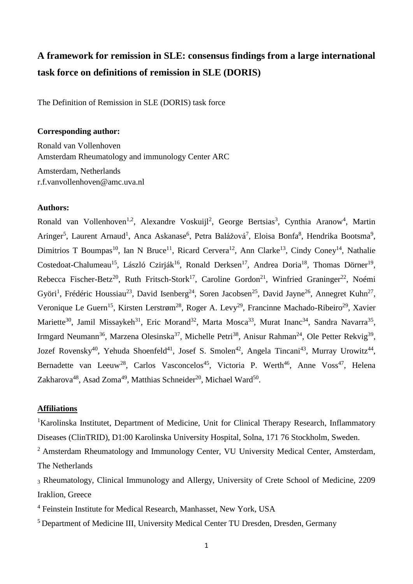# **A framework for remission in SLE: consensus findings from a large international task force on definitions of remission in SLE (DORIS)**

The Definition of Remission in SLE (DORIS) task force

## **Corresponding author:**

Ronald van Vollenhoven Amsterdam Rheumatology and immunology Center ARC Amsterdam, Netherlands r.f.vanvollenhoven@amc.uva.nl

### **Authors:**

Ronald van Vollenhoven<sup>1,2</sup>, Alexandre Voskuijl<sup>2</sup>, George Bertsias<sup>3</sup>, Cynthia Aranow<sup>4</sup>, Martin Aringer<sup>5</sup>, Laurent Arnaud<sup>1</sup>, Anca Askanase<sup>6</sup>, Petra Balážová<sup>7</sup>, Eloisa Bonfa<sup>8</sup>, Hendrika Bootsma<sup>9</sup>, Dimitrios T Boumpas<sup>10</sup>, Ian N Bruce<sup>11</sup>, Ricard Cervera<sup>12</sup>, Ann Clarke<sup>13</sup>, Cindy Coney<sup>14</sup>, Nathalie Costedoat-Chalumeau<sup>15</sup>, László Czirják<sup>16</sup>, Ronald Derksen<sup>17</sup>, Andrea Doria<sup>18</sup>, Thomas Dörner<sup>19</sup>, Rebecca Fischer-Betz<sup>20</sup>, Ruth Fritsch-Stork<sup>17</sup>, Caroline Gordon<sup>21</sup>, Winfried Graninger<sup>22</sup>, Noémi Györi<sup>1</sup>, Frédéric Houssiau<sup>23</sup>, David Isenberg<sup>24</sup>, Soren Jacobsen<sup>25</sup>, David Jayne<sup>26</sup>, Annegret Kuhn<sup>27</sup>, Veronique Le Guern<sup>15</sup>, Kirsten Lerstrøm<sup>28</sup>, Roger A. Levy<sup>29</sup>, Francinne Machado-Ribeiro<sup>29</sup>, Xavier Mariette<sup>30</sup>, Jamil Missaykeh<sup>31</sup>, Eric Morand<sup>32</sup>, Marta Mosca<sup>33</sup>, Murat Inanc<sup>34</sup>, Sandra Navarra<sup>35</sup>, Irmgard Neumann<sup>36</sup>, Marzena Olesinska<sup>37</sup>, Michelle Petri<sup>38</sup>, Anisur Rahman<sup>24</sup>, Ole Petter Rekvig<sup>39</sup>, Jozef Rovensky<sup>40</sup>, Yehuda Shoenfeld<sup>41</sup>, Josef S. Smolen<sup>42</sup>, Angela Tincani<sup>43</sup>, Murray Urowitz<sup>44</sup>, Bernadette van Leeuw<sup>28</sup>, Carlos Vasconcelos<sup>45</sup>, Victoria P. Werth<sup>46</sup>, Anne Voss<sup>47</sup>, Helena Zakharova<sup>48</sup>, Asad Zoma<sup>49</sup>, Matthias Schneider<sup>20</sup>, Michael Ward<sup>50</sup>.

## **Affiliations**

<sup>1</sup>Karolinska Institutet, Department of Medicine, Unit for Clinical Therapy Research, Inflammatory Diseases (ClinTRID), D1:00 Karolinska University Hospital, Solna, 171 76 Stockholm, Sweden.

<sup>2</sup> Amsterdam Rheumatology and Immunology Center, VU University Medical Center, Amsterdam, The Netherlands

<sup>3</sup> Rheumatology, Clinical Immunology and Allergy, University of Crete School of Medicine, 2209 Iraklion, Greece

<sup>4</sup> Feinstein Institute for Medical Research, Manhasset, New York, USA

<sup>5</sup> Department of Medicine III, University Medical Center TU Dresden, Dresden, Germany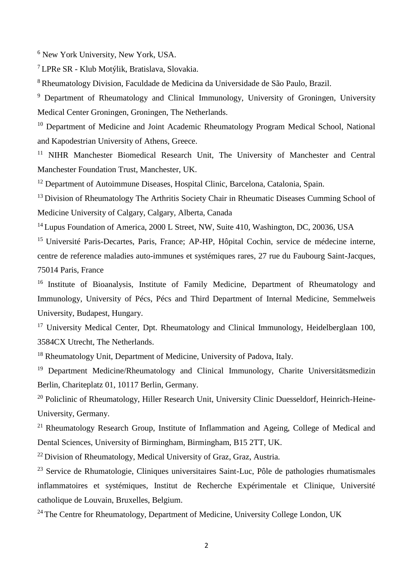<sup>6</sup> New York University, New York, USA.

<sup>7</sup>LPRe SR - Klub Motýlik, Bratislava, Slovakia.

<sup>8</sup>Rheumatology Division, Faculdade de Medicina da Universidade de São Paulo, Brazil.

<sup>9</sup> Department of Rheumatology and Clinical Immunology, University of Groningen, University Medical Center Groningen, Groningen, The Netherlands.

<sup>10</sup> Department of Medicine and Joint Academic Rheumatology Program Medical School, National and Kapodestrian University of Athens, Greece.

<sup>11</sup> NIHR Manchester Biomedical Research Unit, The University of Manchester and Central Manchester Foundation Trust, Manchester, UK.

<sup>12</sup> Department of Autoimmune Diseases, Hospital Clinic, Barcelona, Catalonia, Spain.

<sup>13</sup> Division of Rheumatology The Arthritis Society Chair in Rheumatic Diseases Cumming School of Medicine University of Calgary, Calgary, Alberta, Canada

<sup>14</sup> Lupus Foundation of America, 2000 L Street, NW, Suite 410, Washington, DC, 20036, USA

<sup>15</sup> Université Paris-Decartes, Paris, France; AP-HP, Hôpital Cochin, service de médecine interne, centre de reference maladies auto-immunes et systémiques rares, 27 rue du Faubourg Saint-Jacques, 75014 Paris, France

<sup>16</sup> Institute of Bioanalysis, Institute of Family Medicine, Department of Rheumatology and Immunology, University of Pécs, Pécs and Third Department of Internal Medicine, Semmelweis University, Budapest, Hungary.

<sup>17</sup> University Medical Center, Dpt. Rheumatology and Clinical Immunology, Heidelberglaan 100, 3584CX Utrecht, The Netherlands.

<sup>18</sup> Rheumatology Unit, Department of Medicine, University of Padova, Italy.

<sup>19</sup> Department Medicine/Rheumatology and Clinical Immunology, Charite Universitätsmedizin Berlin, Chariteplatz 01, 10117 Berlin, Germany.

<sup>20</sup> Policlinic of Rheumatology, Hiller Research Unit, University Clinic Duesseldorf, Heinrich-Heine-University, Germany.

<sup>21</sup> Rheumatology Research Group, Institute of Inflammation and Ageing, College of Medical and Dental Sciences, University of Birmingham, Birmingham, B15 2TT, UK.

<sup>22</sup> Division of Rheumatology, Medical University of Graz, Graz, Austria.

 $23$  Service de Rhumatologie, Cliniques universitaires Saint-Luc, Pôle de pathologies rhumatismales inflammatoires et systémiques, Institut de Recherche Expérimentale et Clinique, Université catholique de Louvain, Bruxelles, Belgium.

 $24$  The Centre for Rheumatology, Department of Medicine, University College London, UK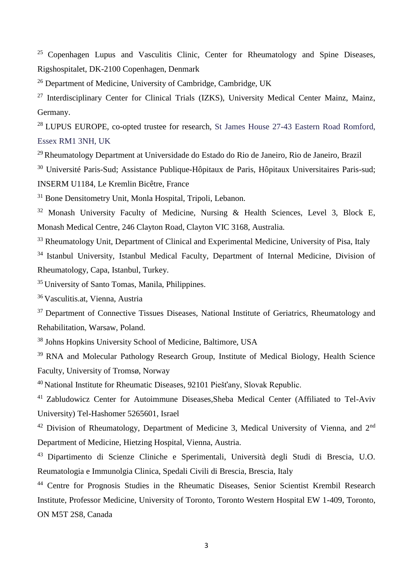<sup>25</sup> Copenhagen Lupus and Vasculitis Clinic, Center for Rheumatology and Spine Diseases, Rigshospitalet, DK-2100 Copenhagen, Denmark

<sup>26</sup> Department of Medicine, University of Cambridge, Cambridge, UK

<sup>27</sup> Interdisciplinary Center for Clinical Trials (IZKS), University Medical Center Mainz, Mainz, Germany.

<sup>28</sup> LUPUS EUROPE, co-opted trustee for research, St James House 27-43 Eastern Road Romford, Essex RM1 3NH, UK

<sup>29</sup> Rheumatology Department at Universidade do Estado do Rio de Janeiro, Rio de Janeiro, Brazil

<sup>30</sup> Université Paris-Sud; Assistance Publique-Hôpitaux de Paris, Hôpitaux Universitaires Paris-sud; INSERM U1184, Le Kremlin Bicêtre, France

<sup>31</sup> Bone Densitometry Unit, Monla Hospital, Tripoli, Lebanon.

<sup>32</sup> Monash University Faculty of Medicine, Nursing & Health Sciences, Level 3, Block E, Monash Medical Centre, 246 Clayton Road, Clayton VIC 3168, Australia.

<sup>33</sup> Rheumatology Unit, Department of Clinical and Experimental Medicine, University of Pisa, Italy

<sup>34</sup> Istanbul University, Istanbul Medical Faculty, Department of Internal Medicine, Division of Rheumatology, Capa, Istanbul, Turkey.

<sup>35</sup>University of Santo Tomas, Manila, Philippines.

<sup>36</sup>Vasculitis.at, Vienna, Austria

<sup>37</sup> Department of Connective Tissues Diseases, National Institute of Geriatrics, Rheumatology and Rehabilitation, Warsaw, Poland.

<sup>38</sup> Johns Hopkins University School of Medicine, Baltimore, USA

<sup>39</sup> RNA and Molecular Pathology Research Group, Institute of Medical Biology, Health Science Faculty, University of Tromsø, Norway

<sup>40</sup> National Institute for Rheumatic Diseases, 92101 Piešťany, Slovak Republic.

<sup>41</sup> Zabludowicz Center for Autoimmune Diseases, Sheba Medical Center (Affiliated to Tel-Aviv University) Tel-Hashomer 5265601, Israel

 $42$  Division of Rheumatology, Department of Medicine 3, Medical University of Vienna, and  $2<sup>nd</sup>$ Department of Medicine, Hietzing Hospital, Vienna, Austria.

<sup>43</sup> Dipartimento di Scienze Cliniche e Sperimentali, Università degli Studi di Brescia, U.O. Reumatologia e Immunolgia Clinica, Spedali Civili di Brescia, Brescia, Italy

<sup>44</sup> Centre for Prognosis Studies in the Rheumatic Diseases, Senior Scientist Krembil Research Institute, Professor Medicine, University of Toronto, Toronto Western Hospital EW 1-409, Toronto, ON M5T 2S8, Canada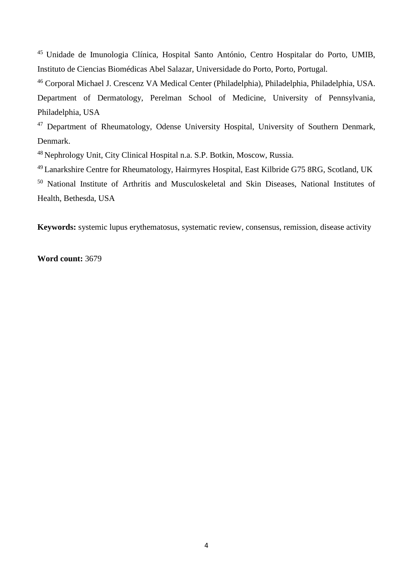<sup>45</sup> Unidade de Imunologia Clínica, Hospital Santo António, Centro Hospitalar do Porto, UMIB, Instituto de Ciencias Biomédicas Abel Salazar, Universidade do Porto, Porto, Portugal.

<sup>46</sup> Corporal Michael J. Crescenz VA Medical Center (Philadelphia), Philadelphia, Philadelphia, USA. Department of Dermatology, Perelman School of Medicine, University of Pennsylvania, Philadelphia, USA

<sup>47</sup> Department of Rheumatology, Odense University Hospital, University of Southern Denmark, Denmark.

<sup>48</sup> Nephrology Unit, City Clinical Hospital n.a. S.P. Botkin, Moscow, Russia.

<sup>49</sup>Lanarkshire Centre for Rheumatology, Hairmyres Hospital, East Kilbride G75 8RG, Scotland, UK

<sup>50</sup> National Institute of Arthritis and Musculoskeletal and Skin Diseases, National Institutes of Health, Bethesda, USA

**Keywords:** systemic lupus erythematosus, systematic review, consensus, remission, disease activity

**Word count:** 3679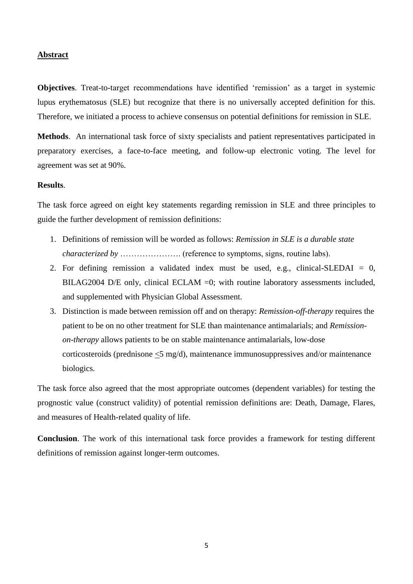## **Abstract**

**Objectives**. Treat-to-target recommendations have identified 'remission' as a target in systemic lupus erythematosus (SLE) but recognize that there is no universally accepted definition for this. Therefore, we initiated a process to achieve consensus on potential definitions for remission in SLE.

**Methods**. An international task force of sixty specialists and patient representatives participated in preparatory exercises, a face-to-face meeting, and follow-up electronic voting. The level for agreement was set at 90%.

#### **Results**.

The task force agreed on eight key statements regarding remission in SLE and three principles to guide the further development of remission definitions:

- 1. Definitions of remission will be worded as follows: *Remission in SLE is a durable state characterized by ……………….* (reference to symptoms, signs, routine labs).
- 2. For defining remission a validated index must be used, e.g., clinical-SLEDAI = 0, BILAG2004 D/E only, clinical ECLAM =0; with routine laboratory assessments included, and supplemented with Physician Global Assessment.
- 3. Distinction is made between remission off and on therapy: *Remission-off-therapy* requires the patient to be on no other treatment for SLE than maintenance antimalarials; and *Remissionon-therapy* allows patients to be on stable maintenance antimalarials, low-dose corticosteroids (prednisone <5 mg/d), maintenance immunosuppressives and/or maintenance biologics.

The task force also agreed that the most appropriate outcomes (dependent variables) for testing the prognostic value (construct validity) of potential remission definitions are: Death, Damage, Flares, and measures of Health-related quality of life.

**Conclusion**. The work of this international task force provides a framework for testing different definitions of remission against longer-term outcomes.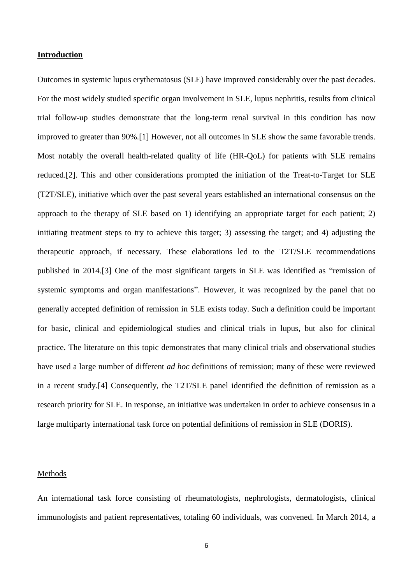#### **Introduction**

Outcomes in systemic lupus erythematosus (SLE) have improved considerably over the past decades. For the most widely studied specific organ involvement in SLE, lupus nephritis, results from clinical trial follow-up studies demonstrate that the long-term renal survival in this condition has now improved to greater than 90%.[\[1\]](#page-29-0) However, not all outcomes in SLE show the same favorable trends. Most notably the overall health-related quality of life (HR-QoL) for patients with SLE remains reduced.[\[2\]](#page-29-1). This and other considerations prompted the initiation of the Treat-to-Target for SLE (T2T/SLE), initiative which over the past several years established an international consensus on the approach to the therapy of SLE based on 1) identifying an appropriate target for each patient; 2) initiating treatment steps to try to achieve this target; 3) assessing the target; and 4) adjusting the therapeutic approach, if necessary. These elaborations led to the T2T/SLE recommendations published in 2014.[\[3\]](#page-29-2) One of the most significant targets in SLE was identified as "remission of systemic symptoms and organ manifestations". However, it was recognized by the panel that no generally accepted definition of remission in SLE exists today. Such a definition could be important for basic, clinical and epidemiological studies and clinical trials in lupus, but also for clinical practice. The literature on this topic demonstrates that many clinical trials and observational studies have used a large number of different *ad hoc* definitions of remission; many of these were reviewed in a recent study.[\[4\]](#page-29-3) Consequently, the T2T/SLE panel identified the definition of remission as a research priority for SLE. In response, an initiative was undertaken in order to achieve consensus in a large multiparty international task force on potential definitions of remission in SLE (DORIS).

## Methods

An international task force consisting of rheumatologists, nephrologists, dermatologists, clinical immunologists and patient representatives, totaling 60 individuals, was convened. In March 2014, a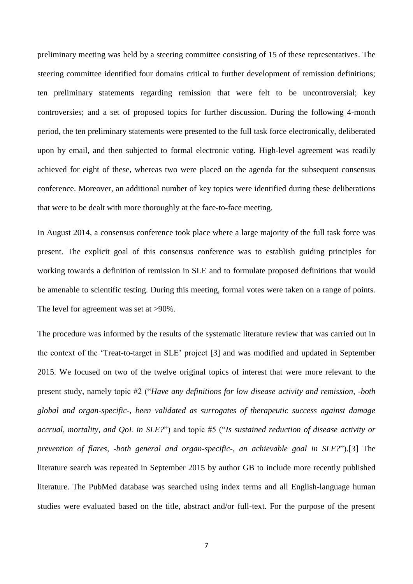preliminary meeting was held by a steering committee consisting of 15 of these representatives. The steering committee identified four domains critical to further development of remission definitions; ten preliminary statements regarding remission that were felt to be uncontroversial; key controversies; and a set of proposed topics for further discussion. During the following 4-month period, the ten preliminary statements were presented to the full task force electronically, deliberated upon by email, and then subjected to formal electronic voting. High-level agreement was readily achieved for eight of these, whereas two were placed on the agenda for the subsequent consensus conference. Moreover, an additional number of key topics were identified during these deliberations that were to be dealt with more thoroughly at the face-to-face meeting.

In August 2014, a consensus conference took place where a large majority of the full task force was present. The explicit goal of this consensus conference was to establish guiding principles for working towards a definition of remission in SLE and to formulate proposed definitions that would be amenable to scientific testing. During this meeting, formal votes were taken on a range of points. The level for agreement was set at  $>90\%$ .

The procedure was informed by the results of the systematic literature review that was carried out in the context of the 'Treat-to-target in SLE' project [\[3\]](#page-29-2) and was modified and updated in September 2015. We focused on two of the twelve original topics of interest that were more relevant to the present study, namely topic #2 ("*Have any definitions for low disease activity and remission, -both global and organ-specific-, been validated as surrogates of therapeutic success against damage accrual, mortality, and QoL in SLE?*") and topic #5 ("*Is sustained reduction of disease activity or prevention of flares, -both general and organ-specific-, an achievable goal in SLE?*").[\[3\]](#page-29-2) The literature search was repeated in September 2015 by author GB to include more recently published literature. The PubMed database was searched using index terms and all English-language human studies were evaluated based on the title, abstract and/or full-text. For the purpose of the present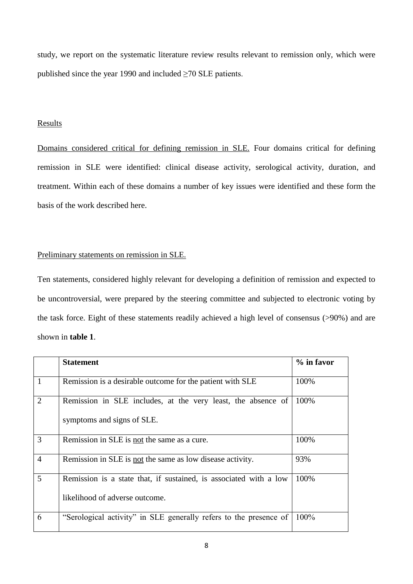study, we report on the systematic literature review results relevant to remission only, which were published since the year 1990 and included  $\geq$ 70 SLE patients.

## Results

Domains considered critical for defining remission in SLE. Four domains critical for defining remission in SLE were identified: clinical disease activity, serological activity, duration, and treatment. Within each of these domains a number of key issues were identified and these form the basis of the work described here.

## Preliminary statements on remission in SLE.

Ten statements, considered highly relevant for developing a definition of remission and expected to be uncontroversial, were prepared by the steering committee and subjected to electronic voting by the task force. Eight of these statements readily achieved a high level of consensus (>90%) and are shown in **table 1**.

|                | <b>Statement</b>                                                                                    | % in favor |
|----------------|-----------------------------------------------------------------------------------------------------|------------|
| $\mathbf{1}$   | Remission is a desirable outcome for the patient with SLE                                           | 100%       |
| $\overline{2}$ | Remission in SLE includes, at the very least, the absence of<br>symptoms and signs of SLE.          | 100%       |
| 3              | Remission in SLE is not the same as a cure.                                                         | 100%       |
| $\overline{4}$ | Remission in SLE is not the same as low disease activity.                                           | 93%        |
| $\overline{5}$ | Remission is a state that, if sustained, is associated with a low<br>likelihood of adverse outcome. | 100%       |
| 6              | "Serological activity" in SLE generally refers to the presence of                                   | 100%       |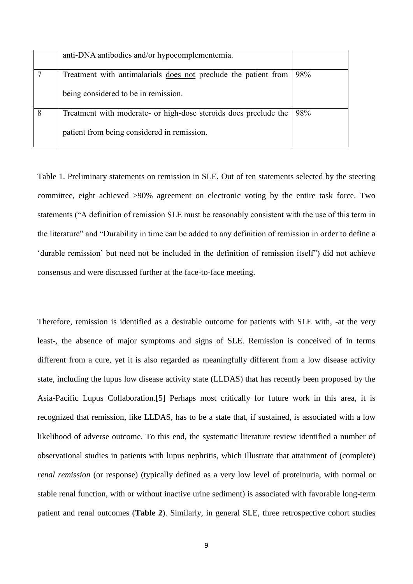|   | anti-DNA antibodies and/or hypocomplementemia.                   |     |
|---|------------------------------------------------------------------|-----|
|   | Treatment with antimalarials does not preclude the patient from  | 98% |
|   | being considered to be in remission.                             |     |
| 8 | Treatment with moderate- or high-dose steroids does preclude the | 98% |
|   | patient from being considered in remission.                      |     |

Table 1. Preliminary statements on remission in SLE. Out of ten statements selected by the steering committee, eight achieved >90% agreement on electronic voting by the entire task force. Two statements ("A definition of remission SLE must be reasonably consistent with the use of this term in the literature" and "Durability in time can be added to any definition of remission in order to define a 'durable remission' but need not be included in the definition of remission itself") did not achieve consensus and were discussed further at the face-to-face meeting.

Therefore, remission is identified as a desirable outcome for patients with SLE with, -at the very least-, the absence of major symptoms and signs of SLE. Remission is conceived of in terms different from a cure, yet it is also regarded as meaningfully different from a low disease activity state, including the lupus low disease activity state (LLDAS) that has recently been proposed by the Asia-Pacific Lupus Collaboration.[\[5\]](#page-29-4) Perhaps most critically for future work in this area, it is recognized that remission, like LLDAS, has to be a state that, if sustained, is associated with a low likelihood of adverse outcome. To this end, the systematic literature review identified a number of observational studies in patients with lupus nephritis, which illustrate that attainment of (complete) *renal remission* (or response) (typically defined as a very low level of proteinuria, with normal or stable renal function, with or without inactive urine sediment) is associated with favorable long-term patient and renal outcomes (**Table 2**). Similarly, in general SLE, three retrospective cohort studies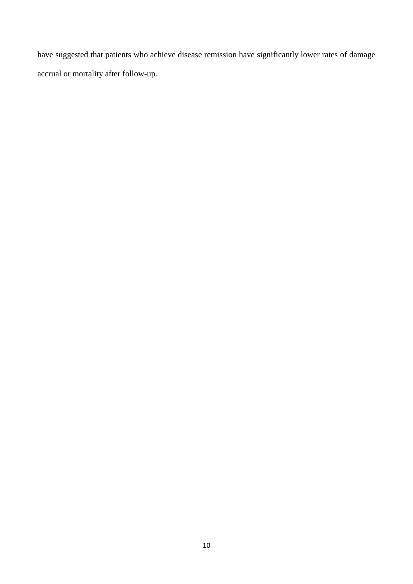have suggested that patients who achieve disease remission have significantly lower rates of damage accrual or mortality after follow-up.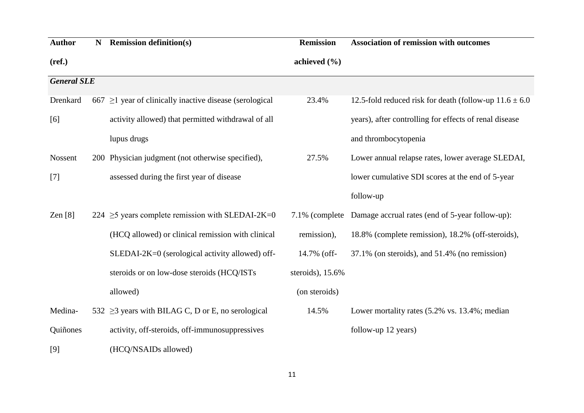| <b>Author</b>      | N | <b>Remission definition(s)</b>                                | <b>Remission</b> | <b>Association of remission with outcomes</b>              |
|--------------------|---|---------------------------------------------------------------|------------------|------------------------------------------------------------|
| (ref.)             |   |                                                               | achieved $(\% )$ |                                                            |
| <b>General SLE</b> |   |                                                               |                  |                                                            |
| Drenkard           |   | $667 \geq 1$ year of clinically inactive disease (serological | 23.4%            | 12.5-fold reduced risk for death (follow-up $11.6 \pm 6.0$ |
| [6]                |   | activity allowed) that permitted withdrawal of all            |                  | years), after controlling for effects of renal disease     |
|                    |   | lupus drugs                                                   |                  | and thrombocytopenia                                       |
| Nossent            |   | 200 Physician judgment (not otherwise specified),             | 27.5%            | Lower annual relapse rates, lower average SLEDAI,          |
| $[7]$              |   | assessed during the first year of disease                     |                  | lower cumulative SDI scores at the end of 5-year           |
|                    |   |                                                               |                  | follow-up                                                  |
| Zen $[8]$          |   | 224 $\geq$ 5 years complete remission with SLEDAI-2K=0        | 7.1% (complete)  | Damage accrual rates (end of 5-year follow-up):            |
|                    |   | (HCQ allowed) or clinical remission with clinical             | remission),      | 18.8% (complete remission), 18.2% (off-steroids),          |
|                    |   | SLEDAI-2K=0 (serological activity allowed) off-               | 14.7% (off-      | 37.1% (on steroids), and 51.4% (no remission)              |
|                    |   | steroids or on low-dose steroids (HCQ/ISTs                    | steroids), 15.6% |                                                            |
|                    |   | allowed)                                                      | (on steroids)    |                                                            |
| Medina-            |   | 532 $\geq$ 3 years with BILAG C, D or E, no serological       | 14.5%            | Lower mortality rates (5.2% vs. 13.4%; median              |
| Quiñones           |   | activity, off-steroids, off-immunosuppressives                |                  | follow-up 12 years)                                        |
| [9]                |   | (HCQ/NSAIDs allowed)                                          |                  |                                                            |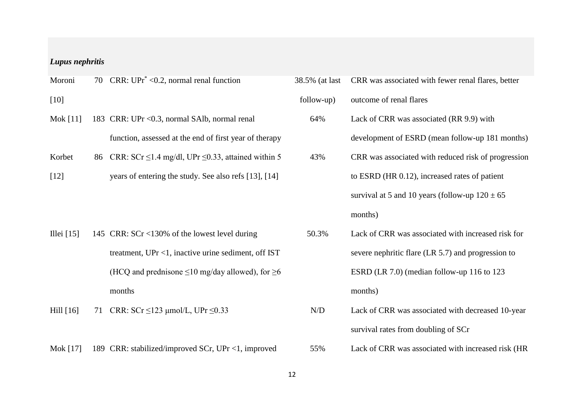## *Lupus nephritis*

| Moroni       |    | 70 CRR: $UPr^* < 0.2$ , normal renal function                    | 38.5% (at last | CRR was associated with fewer renal flares, better   |
|--------------|----|------------------------------------------------------------------|----------------|------------------------------------------------------|
| $[10]$       |    |                                                                  | follow-up)     | outcome of renal flares                              |
| Mok [11]     |    | 183 CRR: UPr < 0.3, normal SAIb, normal renal                    | 64%            | Lack of CRR was associated (RR 9.9) with             |
|              |    | function, assessed at the end of first year of therapy           |                | development of ESRD (mean follow-up 181 months)      |
| Korbet       |    | 86 CRR: SCr $\leq$ 1.4 mg/dl, UPr $\leq$ 0.33, attained within 5 | 43%            | CRR was associated with reduced risk of progression  |
| $[12]$       |    | years of entering the study. See also refs [13], [14]            |                | to ESRD (HR 0.12), increased rates of patient        |
|              |    |                                                                  |                | survival at 5 and 10 years (follow-up $120 \pm 65$ ) |
|              |    |                                                                  |                | months)                                              |
| Illei $[15]$ |    | 145 CRR: SCr <130% of the lowest level during                    | 50.3%          | Lack of CRR was associated with increased risk for   |
|              |    | treatment, $UPr < 1$ , inactive urine sediment, off IST          |                | severe nephritic flare (LR 5.7) and progression to   |
|              |    | (HCQ and prednisone $\leq 10$ mg/day allowed), for $\geq 6$      |                | ESRD (LR 7.0) (median follow-up 116 to 123           |
|              |    | months                                                           |                | months)                                              |
| Hill $[16]$  | 71 | CRR: $SCr \le 123$ µmol/L, UPr $\le 0.33$                        | N/D            | Lack of CRR was associated with decreased 10-year    |
|              |    |                                                                  |                | survival rates from doubling of SCr                  |

Mok [\[17\]](#page-30-4) 189 CRR: stabilized/improved SCr, UPr <1, improved 55% Lack of CRR was associated with increased risk (HR

| 38.5% (at last | CRR was associated with fewer renal flares, better   |
|----------------|------------------------------------------------------|
| follow-up)     | outcome of renal flares                              |
| 64%            | Lack of CRR was associated (RR 9.9) with             |
|                | development of ESRD (mean follow-up 181 months)      |
| 43%            | CRR was associated with reduced risk of progression  |
|                | to ESRD (HR 0.12), increased rates of patient        |
|                | survival at 5 and 10 years (follow-up $120 \pm 65$ ) |
|                | months)                                              |
| 50.3%          | Lack of CRR was associated with increased risk for   |
|                | severe nephritic flare (LR 5.7) and progression to   |
|                | ESRD (LR 7.0) (median follow-up 116 to 123           |
|                | months)                                              |
| N/D            | Lack of CRR was associated with decreased 10-year    |
|                | survival rates from doubling of SCr                  |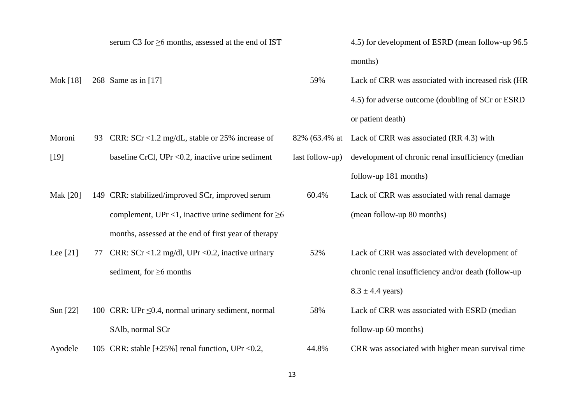|            |    | serum C3 for $\geq$ 6 months, assessed at the end of IST  |                 | 4.5) for development of ESRD (mean follow-up 96.5   |
|------------|----|-----------------------------------------------------------|-----------------|-----------------------------------------------------|
|            |    |                                                           |                 | months)                                             |
| Mok [18]   |    | 268 Same as in [17]                                       | 59%             | Lack of CRR was associated with increased risk (HR  |
|            |    |                                                           |                 | 4.5) for adverse outcome (doubling of SCr or ESRD   |
|            |    |                                                           |                 | or patient death)                                   |
| Moroni     | 93 | CRR: $SCr < 1.2$ mg/dL, stable or 25% increase of         | 82% (63.4% at   | Lack of CRR was associated (RR 4.3) with            |
| $[19]$     |    | baseline CrCl, UPr <0.2, inactive urine sediment          | last follow-up) | development of chronic renal insufficiency (median  |
|            |    |                                                           |                 | follow-up 181 months)                               |
| Mak [20]   |    | 149 CRR: stabilized/improved SCr, improved serum          | 60.4%           | Lack of CRR was associated with renal damage        |
|            |    | complement, UPr <1, inactive urine sediment for $\geq 6$  |                 | (mean follow-up 80 months)                          |
|            |    | months, assessed at the end of first year of therapy      |                 |                                                     |
| Lee $[21]$ | 77 | CRR: SCr <1.2 mg/dl, UPr <0.2, inactive urinary           | 52%             | Lack of CRR was associated with development of      |
|            |    | sediment, for $\geq 6$ months                             |                 | chronic renal insufficiency and/or death (follow-up |
|            |    |                                                           |                 | $8.3 \pm 4.4$ years)                                |
| Sun [22]   |    | 100 CRR: UPr $\leq 0.4$ , normal urinary sediment, normal | 58%             | Lack of CRR was associated with ESRD (median        |
|            |    | SAlb, normal SCr                                          |                 | follow-up 60 months)                                |
| Ayodele    |    | 105 CRR: stable $[\pm 25\%]$ renal function, UPr < 0.2,   | 44.8%           | CRR was associated with higher mean survival time   |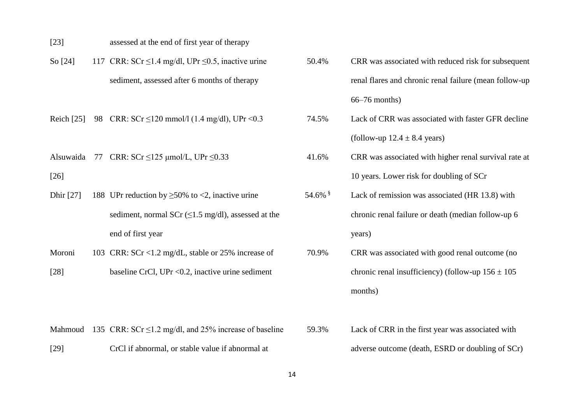- [\[23\]](#page-30-10) assessed at the end of first year of therapy
- So [\[24\]](#page-30-11) 117 CRR:  $SCr \le 1.4$  mg/dl, UPr  $\le 0.5$ , inactive urine sediment, assessed after 6 months of therapy

- Alsuwaida 77 CRR:  $SCr \le 125$  umol/L, UPr $\le 0.33$ [\[26\]](#page-31-0)
- Dhir [\[27\]](#page-31-1) 188 UPr reduction by  $\geq$  50% to <2, inactive urine sediment, normal SCr  $(\leq 1.5 \text{ mg/dl})$ , assessed at the end of first year
- Moroni [\[28\]](#page-31-2) 103 CRR: SCr <1.2 mg/dL, stable or 25% increase of baseline CrCl, UPr <0.2, inactive urine sediment
- 50.4% CRR was associated with reduced risk for subsequent renal flares and chronic renal failure (mean follow-up 66–76 months) Reich [\[25\]](#page-30-12) 98 CRR: SCr ≤120 mmol/l (1.4 mg/dl), UPr <0.3 74.5% Lack of CRR was associated with faster GFR decline (follow-up  $12.4 \pm 8.4$  years) 41.6% CRR was associated with higher renal survival rate at 10 years. Lower risk for doubling of SCr 54.6% § Lack of remission was associated (HR 13.8) with chronic renal failure or death (median follow-up 6 years) 70.9% CRR was associated with good renal outcome (no chronic renal insufficiency) (follow-up  $156 \pm 105$ months)
- Mahmoud 135 CRR:  $SCr \le 1.2$  mg/dl, and 25% increase of baseline [\[29\]](#page-31-3) CrCl if abnormal, or stable value if abnormal at 59.3% Lack of CRR in the first year was associated with adverse outcome (death, ESRD or doubling of SCr)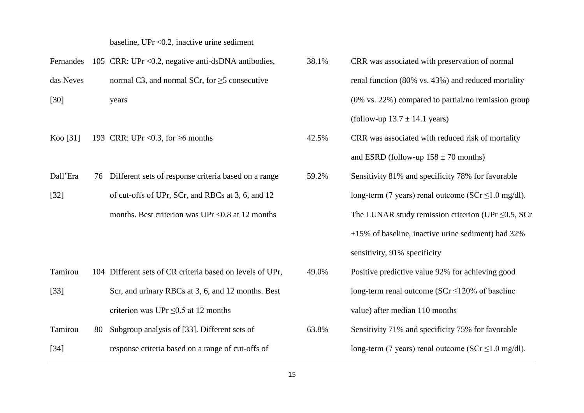baseline, UPr <0.2, inactive urine sediment

| Fernandes |    | 105 CRR: UPr < 0.2, negative anti-dsDNA antibodies,       | 38.1% | CRR was associated with preservation of normal            |
|-----------|----|-----------------------------------------------------------|-------|-----------------------------------------------------------|
| das Neves |    | normal C3, and normal SCr, for $\geq$ 5 consecutive       |       | renal function (80% vs. 43%) and reduced mortality        |
| $[30]$    |    | years                                                     |       | $(0\%$ vs. 22%) compared to partial/no remission group    |
|           |    |                                                           |       | (follow-up $13.7 \pm 14.1$ years)                         |
| Koo [31]  |    | 193 CRR: UPr < $0.3$ , for $\geq 6$ months                | 42.5% | CRR was associated with reduced risk of mortality         |
|           |    |                                                           |       | and ESRD (follow-up $158 \pm 70$ months)                  |
| Dall'Era  | 76 | Different sets of response criteria based on a range      | 59.2% | Sensitivity 81% and specificity 78% for favorable         |
| $[32]$    |    | of cut-offs of UPr, SCr, and RBCs at 3, 6, and 12         |       | long-term (7 years) renal outcome ( $SCr \le 1.0$ mg/dl). |
|           |    | months. Best criterion was UPr < 0.8 at 12 months         |       | The LUNAR study remission criterion (UPr $\leq 0.5$ , SCr |
|           |    |                                                           |       | $\pm 15\%$ of baseline, inactive urine sediment) had 32%  |
|           |    |                                                           |       | sensitivity, 91% specificity                              |
| Tamirou   |    | 104 Different sets of CR criteria based on levels of UPr, | 49.0% | Positive predictive value 92% for achieving good          |
| $[33]$    |    | Scr, and urinary RBCs at 3, 6, and 12 months. Best        |       | long-term renal outcome ( $SCr \le 120\%$ of baseline     |
|           |    | criterion was UPr $\leq$ 0.5 at 12 months                 |       | value) after median 110 months                            |
| Tamirou   | 80 | Subgroup analysis of [33]. Different sets of              | 63.8% | Sensitivity 71% and specificity 75% for favorable         |
| $[34]$    |    | response criteria based on a range of cut-offs of         |       | long-term (7 years) renal outcome ( $SCr \le 1.0$ mg/dl). |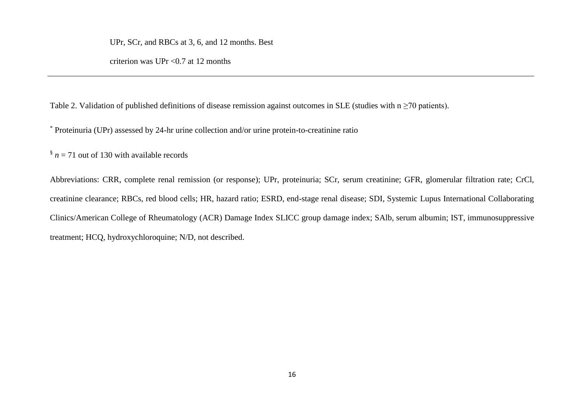UPr, SCr, and RBCs at 3, 6, and 12 months. Best

criterion was UPr  $\langle 0.7 \text{ at } 12 \text{ months} \rangle$ 

Table 2. Validation of published definitions of disease remission against outcomes in SLE (studies with  $n \ge 70$  patients).

\* Proteinuria (UPr) assessed by 24-hr urine collection and/or urine protein-to-creatinine ratio

 $\frac{8}{3}$  *n* = 71 out of 130 with available records

Abbreviations: CRR, complete renal remission (or response); UPr, proteinuria; SCr, serum creatinine; GFR, glomerular filtration rate; CrCl, creatinine clearance; RBCs, red blood cells; HR, hazard ratio; ESRD, end-stage renal disease; SDI, Systemic Lupus International Collaborating Clinics/American College of Rheumatology (ACR) Damage Index SLICC group damage index; SAlb, serum albumin; IST, immunosuppressive treatment; HCQ, hydroxychloroquine; N/D, not described.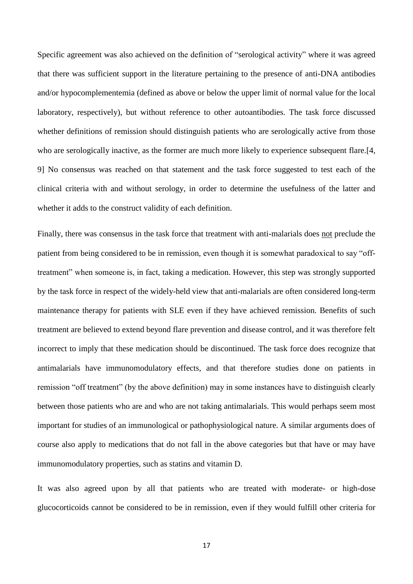Specific agreement was also achieved on the definition of "serological activity" where it was agreed that there was sufficient support in the literature pertaining to the presence of anti-DNA antibodies and/or hypocomplementemia (defined as above or below the upper limit of normal value for the local laboratory, respectively), but without reference to other autoantibodies. The task force discussed whether definitions of remission should distinguish patients who are serologically active from those who are serologically inactive, as the former are much more likely to experience subsequent flare.<sup>[4]</sup>, [9\]](#page-29-12) No consensus was reached on that statement and the task force suggested to test each of the clinical criteria with and without serology, in order to determine the usefulness of the latter and whether it adds to the construct validity of each definition.

Finally, there was consensus in the task force that treatment with anti-malarials does not preclude the patient from being considered to be in remission, even though it is somewhat paradoxical to say "offtreatment" when someone is, in fact, taking a medication. However, this step was strongly supported by the task force in respect of the widely-held view that anti-malarials are often considered long-term maintenance therapy for patients with SLE even if they have achieved remission. Benefits of such treatment are believed to extend beyond flare prevention and disease control, and it was therefore felt incorrect to imply that these medication should be discontinued. The task force does recognize that antimalarials have immunomodulatory effects, and that therefore studies done on patients in remission "off treatment" (by the above definition) may in some instances have to distinguish clearly between those patients who are and who are not taking antimalarials. This would perhaps seem most important for studies of an immunological or pathophysiological nature. A similar arguments does of course also apply to medications that do not fall in the above categories but that have or may have immunomodulatory properties, such as statins and vitamin D.

It was also agreed upon by all that patients who are treated with moderate- or high-dose glucocorticoids cannot be considered to be in remission, even if they would fulfill other criteria for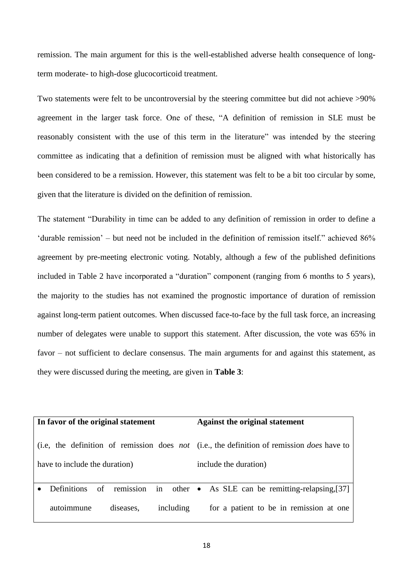remission. The main argument for this is the well-established adverse health consequence of longterm moderate- to high-dose glucocorticoid treatment.

Two statements were felt to be uncontroversial by the steering committee but did not achieve >90% agreement in the larger task force. One of these, "A definition of remission in SLE must be reasonably consistent with the use of this term in the literature" was intended by the steering committee as indicating that a definition of remission must be aligned with what historically has been considered to be a remission. However, this statement was felt to be a bit too circular by some, given that the literature is divided on the definition of remission.

The statement "Durability in time can be added to any definition of remission in order to define a 'durable remission' – but need not be included in the definition of remission itself." achieved 86% agreement by pre-meeting electronic voting. Notably, although a few of the published definitions included in Table 2 have incorporated a "duration" component (ranging from 6 months to 5 years), the majority to the studies has not examined the prognostic importance of duration of remission against long-term patient outcomes. When discussed face-to-face by the full task force, an increasing number of delegates were unable to support this statement. After discussion, the vote was 65% in favor – not sufficient to declare consensus. The main arguments for and against this statement, as they were discussed during the meeting, are given in **Table 3**:

| In favor of the original statement |           |           | <b>Against the original statement</b>                                                                     |  |  |
|------------------------------------|-----------|-----------|-----------------------------------------------------------------------------------------------------------|--|--|
|                                    |           |           | (i.e., the definition of remission does <i>not</i> (i.e., the definition of remission <i>does</i> have to |  |  |
| have to include the duration)      |           |           | include the duration)                                                                                     |  |  |
| <b>Definitions</b><br>of           | remission |           | in other • As SLE can be remitting-relapsing, $[37]$                                                      |  |  |
| autoimmune                         | diseases, | including | for a patient to be in remission at one                                                                   |  |  |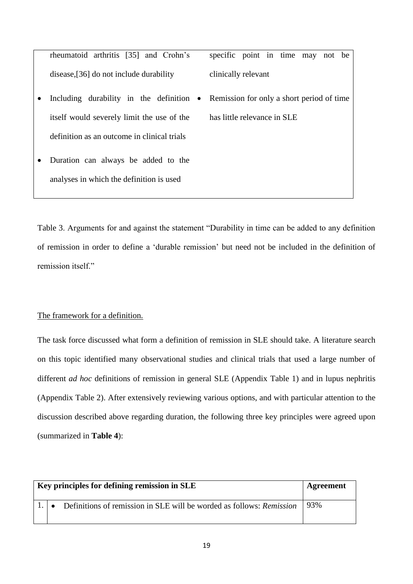rheumatoid arthritis [\[35\]](#page-31-10) and Crohn's disease,[\[36\]](#page-31-11) do not include durability specific point in time may not be clinically relevant  $\bullet$  Including durability in the definition  $\bullet$ itself would severely limit the use of the Remission for only a short period of time has little relevance in SLE

Table 3. Arguments for and against the statement "Durability in time can be added to any definition of remission in order to define a 'durable remission' but need not be included in the definition of remission itself."

## The framework for a definition.

definition as an outcome in clinical trials

Duration can always be added to the

analyses in which the definition is used

The task force discussed what form a definition of remission in SLE should take. A literature search on this topic identified many observational studies and clinical trials that used a large number of different *ad hoc* definitions of remission in general SLE (Appendix Table 1) and in lupus nephritis (Appendix Table 2). After extensively reviewing various options, and with particular attention to the discussion described above regarding duration, the following three key principles were agreed upon (summarized in **Table 4**):

| Key principles for defining remission in SLE | Agreement |                                                                             |     |
|----------------------------------------------|-----------|-----------------------------------------------------------------------------|-----|
|                                              |           | Definitions of remission in SLE will be worded as follows: <i>Remission</i> | 93% |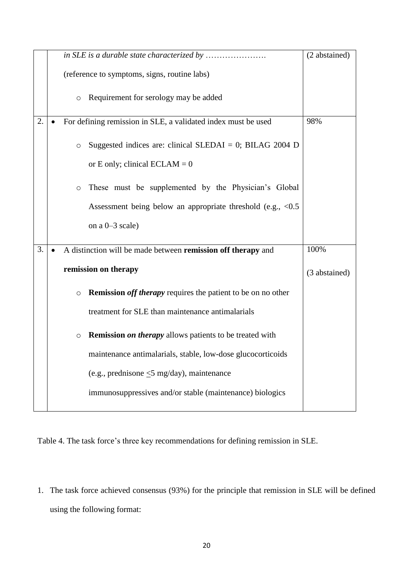|    |                                                                                | (2 abstained) |
|----|--------------------------------------------------------------------------------|---------------|
|    | (reference to symptoms, signs, routine labs)                                   |               |
|    | Requirement for serology may be added<br>$\circ$                               |               |
| 2. | For defining remission in SLE, a validated index must be used                  | 98%           |
|    | Suggested indices are: clinical SLEDAI = 0; BILAG 2004 D<br>$\circ$            |               |
|    | or E only; clinical ECLAM = $0$                                                |               |
|    | These must be supplemented by the Physician's Global<br>$\circ$                |               |
|    | Assessment being below an appropriate threshold (e.g., $\langle 0.5 \rangle$   |               |
|    | on a $0-3$ scale)                                                              |               |
| 3. | A distinction will be made between remission off therapy and                   | 100%          |
|    | remission on therapy                                                           | (3 abstained) |
|    | <b>Remission off therapy requires the patient to be on no other</b><br>$\circ$ |               |
|    | treatment for SLE than maintenance antimalarials                               |               |
|    | <b>Remission on therapy allows patients to be treated with</b><br>$\circ$      |               |
|    | maintenance antimalarials, stable, low-dose glucocorticoids                    |               |
|    | (e.g., prednisone $\leq$ 5 mg/day), maintenance                                |               |
|    | immunosuppressives and/or stable (maintenance) biologics                       |               |

Table 4. The task force's three key recommendations for defining remission in SLE.

1. The task force achieved consensus (93%) for the principle that remission in SLE will be defined using the following format: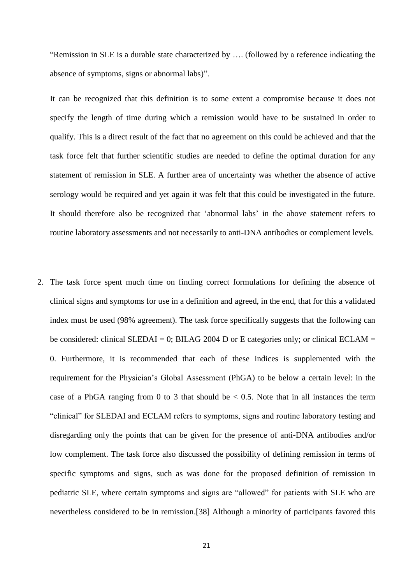"Remission in SLE is a durable state characterized by …. (followed by a reference indicating the absence of symptoms, signs or abnormal labs)".

It can be recognized that this definition is to some extent a compromise because it does not specify the length of time during which a remission would have to be sustained in order to qualify. This is a direct result of the fact that no agreement on this could be achieved and that the task force felt that further scientific studies are needed to define the optimal duration for any statement of remission in SLE. A further area of uncertainty was whether the absence of active serology would be required and yet again it was felt that this could be investigated in the future. It should therefore also be recognized that 'abnormal labs' in the above statement refers to routine laboratory assessments and not necessarily to anti-DNA antibodies or complement levels.

2. The task force spent much time on finding correct formulations for defining the absence of clinical signs and symptoms for use in a definition and agreed, in the end, that for this a validated index must be used (98% agreement). The task force specifically suggests that the following can be considered: clinical SLEDAI = 0; BILAG 2004 D or E categories only; or clinical ECLAM = 0. Furthermore, it is recommended that each of these indices is supplemented with the requirement for the Physician's Global Assessment (PhGA) to be below a certain level: in the case of a PhGA ranging from 0 to 3 that should be  $\lt$  0.5. Note that in all instances the term "clinical" for SLEDAI and ECLAM refers to symptoms, signs and routine laboratory testing and disregarding only the points that can be given for the presence of anti-DNA antibodies and/or low complement. The task force also discussed the possibility of defining remission in terms of specific symptoms and signs, such as was done for the proposed definition of remission in pediatric SLE, where certain symptoms and signs are "allowed" for patients with SLE who are nevertheless considered to be in remission.[\[38\]](#page-31-12) Although a minority of participants favored this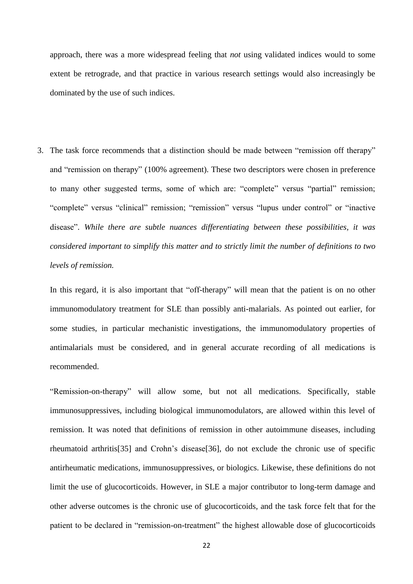approach, there was a more widespread feeling that *not* using validated indices would to some extent be retrograde, and that practice in various research settings would also increasingly be dominated by the use of such indices.

3. The task force recommends that a distinction should be made between "remission off therapy" and "remission on therapy" (100% agreement). These two descriptors were chosen in preference to many other suggested terms, some of which are: "complete" versus "partial" remission; "complete" versus "clinical" remission; "remission" versus "lupus under control" or "inactive disease". *While there are subtle nuances differentiating between these possibilities, it was considered important to simplify this matter and to strictly limit the number of definitions to two levels of remission.* 

In this regard, it is also important that "off-therapy" will mean that the patient is on no other immunomodulatory treatment for SLE than possibly anti-malarials. As pointed out earlier, for some studies, in particular mechanistic investigations, the immunomodulatory properties of antimalarials must be considered, and in general accurate recording of all medications is recommended.

"Remission-on-therapy" will allow some, but not all medications. Specifically, stable immunosuppressives, including biological immunomodulators, are allowed within this level of remission. It was noted that definitions of remission in other autoimmune diseases, including rheumatoid arthritis[\[35\]](#page-31-10) and Crohn's disease[\[36\]](#page-31-11), do not exclude the chronic use of specific antirheumatic medications, immunosuppressives, or biologics. Likewise, these definitions do not limit the use of glucocorticoids. However, in SLE a major contributor to long-term damage and other adverse outcomes is the chronic use of glucocorticoids, and the task force felt that for the patient to be declared in "remission-on-treatment" the highest allowable dose of glucocorticoids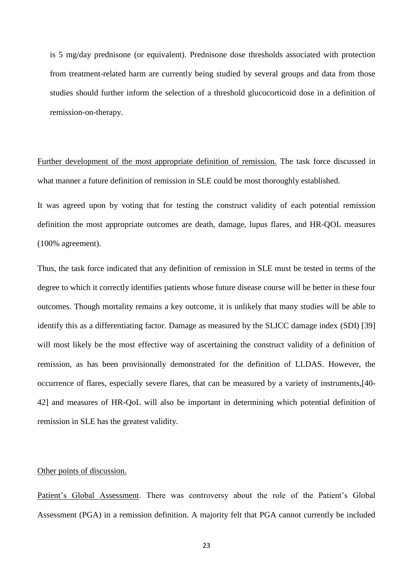is 5 mg/day prednisone (or equivalent). Prednisone dose thresholds associated with protection from treatment-related harm are currently being studied by several groups and data from those studies should further inform the selection of a threshold glucocorticoid dose in a definition of remission-on-therapy.

Further development of the most appropriate definition of remission. The task force discussed in what manner a future definition of remission in SLE could be most thoroughly established.

It was agreed upon by voting that for testing the construct validity of each potential remission definition the most appropriate outcomes are death, damage, lupus flares, and HR-QOL measures (100% agreement).

Thus, the task force indicated that any definition of remission in SLE must be tested in terms of the degree to which it correctly identifies patients whose future disease course will be better in these four outcomes. Though mortality remains a key outcome, it is unlikely that many studies will be able to identify this as a differentiating factor. Damage as measured by the SLICC damage index (SDI) [\[39\]](#page-32-0) will most likely be the most effective way of ascertaining the construct validity of a definition of remission, as has been provisionally demonstrated for the definition of LLDAS. However, the occurrence of flares, especially severe flares, that can be measured by a variety of instruments,[\[40-](#page-32-1) [42\]](#page-32-1) and measures of HR-QoL will also be important in determining which potential definition of remission in SLE has the greatest validity.

## Other points of discussion.

Patient's Global Assessment. There was controversy about the role of the Patient's Global Assessment (PGA) in a remission definition. A majority felt that PGA cannot currently be included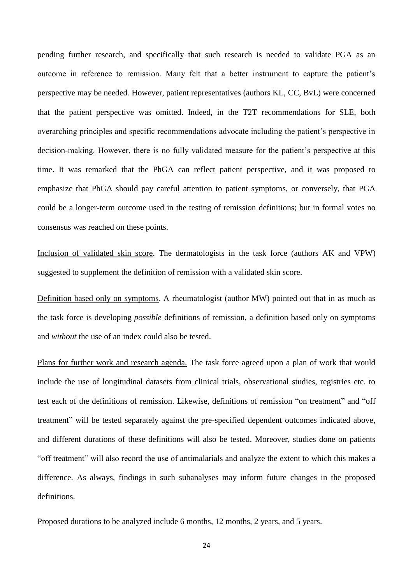pending further research, and specifically that such research is needed to validate PGA as an outcome in reference to remission. Many felt that a better instrument to capture the patient's perspective may be needed. However, patient representatives (authors KL, CC, BvL) were concerned that the patient perspective was omitted. Indeed, in the T2T recommendations for SLE, both overarching principles and specific recommendations advocate including the patient's perspective in decision-making. However, there is no fully validated measure for the patient's perspective at this time. It was remarked that the PhGA can reflect patient perspective, and it was proposed to emphasize that PhGA should pay careful attention to patient symptoms, or conversely, that PGA could be a longer-term outcome used in the testing of remission definitions; but in formal votes no consensus was reached on these points.

Inclusion of validated skin score. The dermatologists in the task force (authors AK and VPW) suggested to supplement the definition of remission with a validated skin score.

Definition based only on symptoms. A rheumatologist (author MW) pointed out that in as much as the task force is developing *possible* definitions of remission, a definition based only on symptoms and *without* the use of an index could also be tested.

Plans for further work and research agenda. The task force agreed upon a plan of work that would include the use of longitudinal datasets from clinical trials, observational studies, registries etc. to test each of the definitions of remission. Likewise, definitions of remission "on treatment" and "off treatment" will be tested separately against the pre-specified dependent outcomes indicated above, and different durations of these definitions will also be tested. Moreover, studies done on patients "off treatment" will also record the use of antimalarials and analyze the extent to which this makes a difference. As always, findings in such subanalyses may inform future changes in the proposed definitions.

Proposed durations to be analyzed include 6 months, 12 months, 2 years, and 5 years.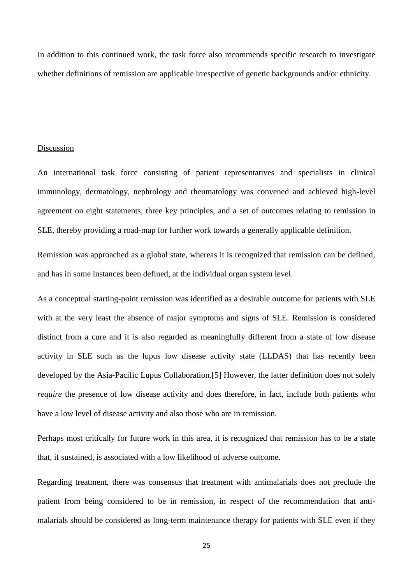In addition to this continued work, the task force also recommends specific research to investigate whether definitions of remission are applicable irrespective of genetic backgrounds and/or ethnicity.

## Discussion

An international task force consisting of patient representatives and specialists in clinical immunology, dermatology, nephrology and rheumatology was convened and achieved high-level agreement on eight statements, three key principles, and a set of outcomes relating to remission in SLE, thereby providing a road-map for further work towards a generally applicable definition.

Remission was approached as a global state, whereas it is recognized that remission can be defined, and has in some instances been defined, at the individual organ system level.

As a conceptual starting-point remission was identified as a desirable outcome for patients with SLE with at the very least the absence of major symptoms and signs of SLE. Remission is considered distinct from a cure and it is also regarded as meaningfully different from a state of low disease activity in SLE such as the lupus low disease activity state (LLDAS) that has recently been developed by the Asia-Pacific Lupus Collaboration.[\[5\]](#page-29-4) However, the latter definition does not solely *require* the presence of low disease activity and does therefore, in fact, include both patients who have a low level of disease activity and also those who are in remission.

Perhaps most critically for future work in this area, it is recognized that remission has to be a state that, if sustained, is associated with a low likelihood of adverse outcome.

Regarding treatment, there was consensus that treatment with antimalarials does not preclude the patient from being considered to be in remission, in respect of the recommendation that antimalarials should be considered as long-term maintenance therapy for patients with SLE even if they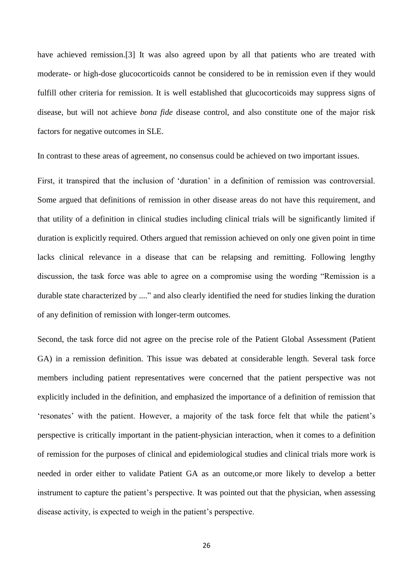have achieved remission.[\[3\]](#page-29-2) It was also agreed upon by all that patients who are treated with moderate- or high-dose glucocorticoids cannot be considered to be in remission even if they would fulfill other criteria for remission. It is well established that glucocorticoids may suppress signs of disease, but will not achieve *bona fide* disease control, and also constitute one of the major risk factors for negative outcomes in SLE.

In contrast to these areas of agreement, no consensus could be achieved on two important issues.

First, it transpired that the inclusion of 'duration' in a definition of remission was controversial. Some argued that definitions of remission in other disease areas do not have this requirement, and that utility of a definition in clinical studies including clinical trials will be significantly limited if duration is explicitly required. Others argued that remission achieved on only one given point in time lacks clinical relevance in a disease that can be relapsing and remitting. Following lengthy discussion, the task force was able to agree on a compromise using the wording "Remission is a durable state characterized by ...." and also clearly identified the need for studies linking the duration of any definition of remission with longer-term outcomes.

Second, the task force did not agree on the precise role of the Patient Global Assessment (Patient GA) in a remission definition. This issue was debated at considerable length. Several task force members including patient representatives were concerned that the patient perspective was not explicitly included in the definition, and emphasized the importance of a definition of remission that 'resonates' with the patient. However, a majority of the task force felt that while the patient's perspective is critically important in the patient-physician interaction, when it comes to a definition of remission for the purposes of clinical and epidemiological studies and clinical trials more work is needed in order either to validate Patient GA as an outcome,or more likely to develop a better instrument to capture the patient's perspective. It was pointed out that the physician, when assessing disease activity, is expected to weigh in the patient's perspective.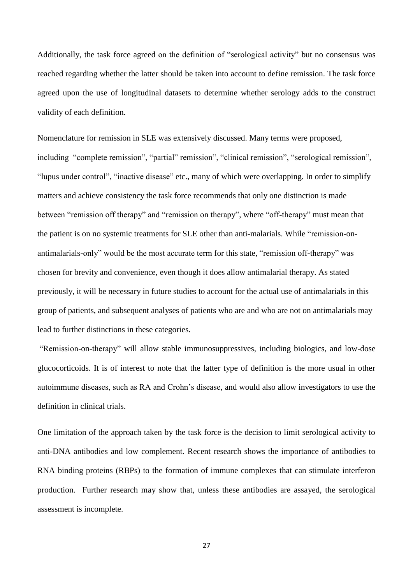Additionally, the task force agreed on the definition of "serological activity" but no consensus was reached regarding whether the latter should be taken into account to define remission. The task force agreed upon the use of longitudinal datasets to determine whether serology adds to the construct validity of each definition.

Nomenclature for remission in SLE was extensively discussed. Many terms were proposed, including "complete remission", "partial" remission", "clinical remission", "serological remission", "lupus under control", "inactive disease" etc., many of which were overlapping. In order to simplify matters and achieve consistency the task force recommends that only one distinction is made between "remission off therapy" and "remission on therapy", where "off-therapy" must mean that the patient is on no systemic treatments for SLE other than anti-malarials. While "remission-onantimalarials-only" would be the most accurate term for this state, "remission off-therapy" was chosen for brevity and convenience, even though it does allow antimalarial therapy. As stated previously, it will be necessary in future studies to account for the actual use of antimalarials in this group of patients, and subsequent analyses of patients who are and who are not on antimalarials may lead to further distinctions in these categories.

"Remission-on-therapy" will allow stable immunosuppressives, including biologics, and low-dose glucocorticoids. It is of interest to note that the latter type of definition is the more usual in other autoimmune diseases, such as RA and Crohn's disease, and would also allow investigators to use the definition in clinical trials.

One limitation of the approach taken by the task force is the decision to limit serological activity to anti-DNA antibodies and low complement. Recent research shows the importance of antibodies to RNA binding proteins (RBPs) to the formation of immune complexes that can stimulate interferon production. Further research may show that, unless these antibodies are assayed, the serological assessment is incomplete.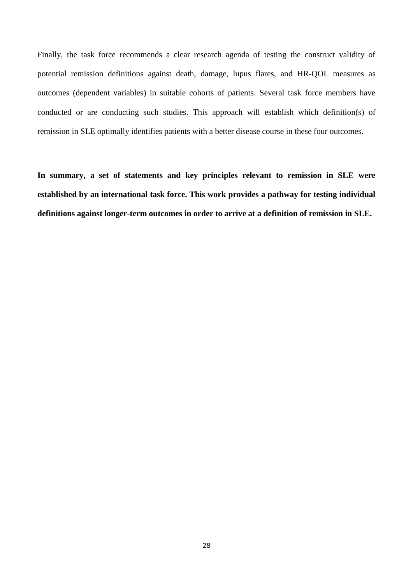Finally, the task force recommends a clear research agenda of testing the construct validity of potential remission definitions against death, damage, lupus flares, and HR-QOL measures as outcomes (dependent variables) in suitable cohorts of patients. Several task force members have conducted or are conducting such studies. This approach will establish which definition(s) of remission in SLE optimally identifies patients with a better disease course in these four outcomes.

**In summary, a set of statements and key principles relevant to remission in SLE were established by an international task force. This work provides a pathway for testing individual definitions against longer-term outcomes in order to arrive at a definition of remission in SLE.**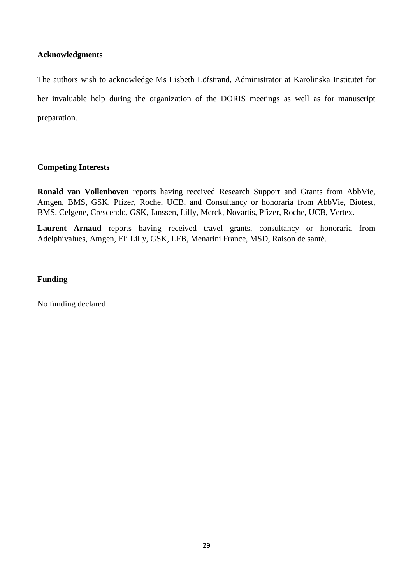## **Acknowledgments**

The authors wish to acknowledge Ms Lisbeth Löfstrand, Administrator at Karolinska Institutet for her invaluable help during the organization of the DORIS meetings as well as for manuscript preparation.

## **Competing Interests**

**Ronald van Vollenhoven** reports having received Research Support and Grants from AbbVie, Amgen, BMS, GSK, Pfizer, Roche, UCB, and Consultancy or honoraria from AbbVie, Biotest, BMS, Celgene, Crescendo, GSK, Janssen, Lilly, Merck, Novartis, Pfizer, Roche, UCB, Vertex.

**Laurent Arnaud** reports having received travel grants, consultancy or honoraria from Adelphivalues, Amgen, Eli Lilly, GSK, LFB, Menarini France, MSD, Raison de santé.

## **Funding**

No funding declared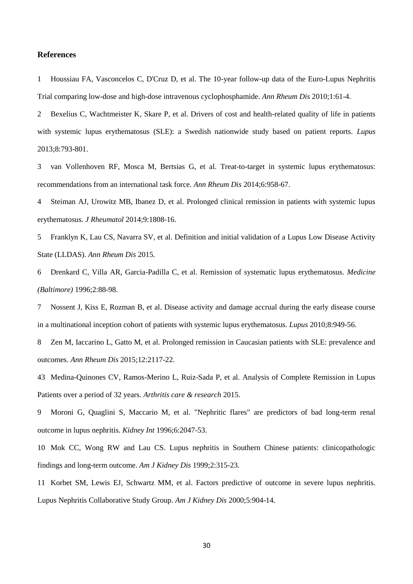#### **References**

<span id="page-29-0"></span>1 Houssiau FA, Vasconcelos C, D'Cruz D, et al. The 10-year follow-up data of the Euro-Lupus Nephritis Trial comparing low-dose and high-dose intravenous cyclophosphamide. *Ann Rheum Dis* 2010;1:61-4.

<span id="page-29-6"></span><span id="page-29-5"></span><span id="page-29-1"></span>2 Bexelius C, Wachtmeister K, Skare P, et al. Drivers of cost and health-related quality of life in patients with systemic lupus erythematosus (SLE): a Swedish nationwide study based on patient reports. *Lupus* 2013;8:793-801.

<span id="page-29-7"></span><span id="page-29-2"></span>3 van Vollenhoven RF, Mosca M, Bertsias G, et al. Treat-to-target in systemic lupus erythematosus: recommendations from an international task force. *Ann Rheum Dis* 2014;6:958-67.

<span id="page-29-8"></span><span id="page-29-3"></span>4 Steiman AJ, Urowitz MB, Ibanez D, et al. Prolonged clinical remission in patients with systemic lupus erythematosus. *J Rheumatol* 2014;9:1808-16.

<span id="page-29-9"></span><span id="page-29-4"></span>5 Franklyn K, Lau CS, Navarra SV, et al. Definition and initial validation of a Lupus Low Disease Activity State (LLDAS). *Ann Rheum Dis* 2015.

<span id="page-29-10"></span>6 Drenkard C, Villa AR, Garcia-Padilla C, et al. Remission of systematic lupus erythematosus. *Medicine (Baltimore)* 1996;2:88-98.

<span id="page-29-11"></span>7 Nossent J, Kiss E, Rozman B, et al. Disease activity and damage accrual during the early disease course in a multinational inception cohort of patients with systemic lupus erythematosus. *Lupus* 2010;8:949-56.

8 Zen M, Iaccarino L, Gatto M, et al. Prolonged remission in Caucasian patients with SLE: prevalence and outcomes. *Ann Rheum Dis* 2015;12:2117-22.

<span id="page-29-12"></span>43 Medina-Quinones CV, Ramos-Merino L, Ruiz-Sada P, et al. Analysis of Complete Remission in Lupus Patients over a period of 32 years. *Arthritis care & research* 2015.

9 Moroni G, Quaglini S, Maccario M, et al. "Nephritic flares" are predictors of bad long-term renal outcome in lupus nephritis. *Kidney Int* 1996;6:2047-53.

10 Mok CC, Wong RW and Lau CS. Lupus nephritis in Southern Chinese patients: clinicopathologic findings and long-term outcome. *Am J Kidney Dis* 1999;2:315-23.

11 Korbet SM, Lewis EJ, Schwartz MM, et al. Factors predictive of outcome in severe lupus nephritis. Lupus Nephritis Collaborative Study Group. *Am J Kidney Dis* 2000;5:904-14.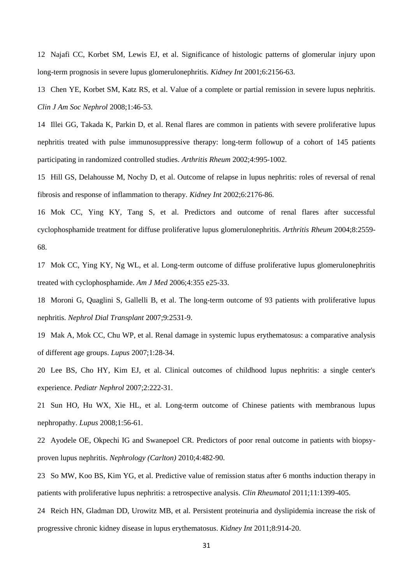<span id="page-30-4"></span><span id="page-30-3"></span><span id="page-30-2"></span><span id="page-30-1"></span><span id="page-30-0"></span>12 Najafi CC, Korbet SM, Lewis EJ, et al. Significance of histologic patterns of glomerular injury upon long-term prognosis in severe lupus glomerulonephritis. *Kidney Int* 2001;6:2156-63.

<span id="page-30-5"></span>13 Chen YE, Korbet SM, Katz RS, et al. Value of a complete or partial remission in severe lupus nephritis. *Clin J Am Soc Nephrol* 2008;1:46-53.

<span id="page-30-6"></span>14 Illei GG, Takada K, Parkin D, et al. Renal flares are common in patients with severe proliferative lupus nephritis treated with pulse immunosuppressive therapy: long-term followup of a cohort of 145 patients participating in randomized controlled studies. *Arthritis Rheum* 2002;4:995-1002.

<span id="page-30-7"></span>15 Hill GS, Delahousse M, Nochy D, et al. Outcome of relapse in lupus nephritis: roles of reversal of renal fibrosis and response of inflammation to therapy. *Kidney Int* 2002;6:2176-86.

<span id="page-30-9"></span><span id="page-30-8"></span>16 Mok CC, Ying KY, Tang S, et al. Predictors and outcome of renal flares after successful cyclophosphamide treatment for diffuse proliferative lupus glomerulonephritis. *Arthritis Rheum* 2004;8:2559- 68.

<span id="page-30-10"></span>17 Mok CC, Ying KY, Ng WL, et al. Long-term outcome of diffuse proliferative lupus glomerulonephritis treated with cyclophosphamide. *Am J Med* 2006;4:355 e25-33.

<span id="page-30-11"></span>18 Moroni G, Quaglini S, Gallelli B, et al. The long-term outcome of 93 patients with proliferative lupus nephritis. *Nephrol Dial Transplant* 2007;9:2531-9.

<span id="page-30-12"></span>19 Mak A, Mok CC, Chu WP, et al. Renal damage in systemic lupus erythematosus: a comparative analysis of different age groups. *Lupus* 2007;1:28-34.

20 Lee BS, Cho HY, Kim EJ, et al. Clinical outcomes of childhood lupus nephritis: a single center's experience. *Pediatr Nephrol* 2007;2:222-31.

21 Sun HO, Hu WX, Xie HL, et al. Long-term outcome of Chinese patients with membranous lupus nephropathy. *Lupus* 2008;1:56-61.

22 Ayodele OE, Okpechi IG and Swanepoel CR. Predictors of poor renal outcome in patients with biopsyproven lupus nephritis. *Nephrology (Carlton)* 2010;4:482-90.

23 So MW, Koo BS, Kim YG, et al. Predictive value of remission status after 6 months induction therapy in patients with proliferative lupus nephritis: a retrospective analysis. *Clin Rheumatol* 2011;11:1399-405.

24 Reich HN, Gladman DD, Urowitz MB, et al. Persistent proteinuria and dyslipidemia increase the risk of progressive chronic kidney disease in lupus erythematosus. *Kidney Int* 2011;8:914-20.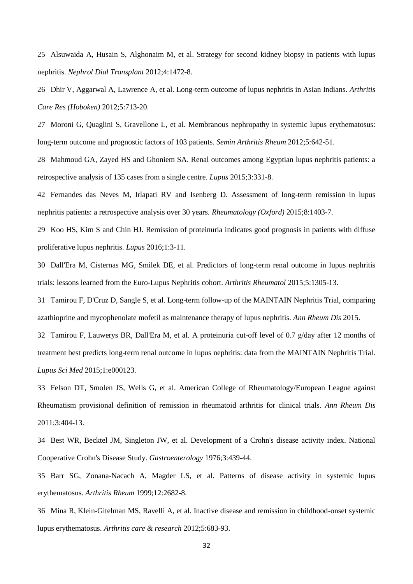<span id="page-31-5"></span><span id="page-31-4"></span><span id="page-31-3"></span><span id="page-31-2"></span><span id="page-31-1"></span><span id="page-31-0"></span>25 Alsuwaida A, Husain S, Alghonaim M, et al. Strategy for second kidney biopsy in patients with lupus nephritis. *Nephrol Dial Transplant* 2012;4:1472-8.

<span id="page-31-6"></span>26 Dhir V, Aggarwal A, Lawrence A, et al. Long-term outcome of lupus nephritis in Asian Indians. *Arthritis Care Res (Hoboken)* 2012;5:713-20.

<span id="page-31-7"></span>27 Moroni G, Quaglini S, Gravellone L, et al. Membranous nephropathy in systemic lupus erythematosus: long-term outcome and prognostic factors of 103 patients. *Semin Arthritis Rheum* 2012;5:642-51.

<span id="page-31-8"></span>28 Mahmoud GA, Zayed HS and Ghoniem SA. Renal outcomes among Egyptian lupus nephritis patients: a retrospective analysis of 135 cases from a single centre. *Lupus* 2015;3:331-8.

42 Fernandes das Neves M, Irlapati RV and Isenberg D. Assessment of long-term remission in lupus nephritis patients: a retrospective analysis over 30 years. *Rheumatology (Oxford)* 2015;8:1403-7.

29 Koo HS, Kim S and Chin HJ. Remission of proteinuria indicates good prognosis in patients with diffuse proliferative lupus nephritis. *Lupus* 2016;1:3-11.

30 Dall'Era M, Cisternas MG, Smilek DE, et al. Predictors of long-term renal outcome in lupus nephritis trials: lessons learned from the Euro-Lupus Nephritis cohort. *Arthritis Rheumatol* 2015;5:1305-13.

31 Tamirou F, D'Cruz D, Sangle S, et al. Long-term follow-up of the MAINTAIN Nephritis Trial, comparing azathioprine and mycophenolate mofetil as maintenance therapy of lupus nephritis. *Ann Rheum Dis* 2015.

32 Tamirou F, Lauwerys BR, Dall'Era M, et al. A proteinuria cut-off level of 0.7 g/day after 12 months of treatment best predicts long-term renal outcome in lupus nephritis: data from the MAINTAIN Nephritis Trial. *Lupus Sci Med* 2015;1:e000123.

<span id="page-31-10"></span>33 Felson DT, Smolen JS, Wells G, et al. American College of Rheumatology/European League against Rheumatism provisional definition of remission in rheumatoid arthritis for clinical trials. *Ann Rheum Dis* 2011;3:404-13.

<span id="page-31-11"></span>34 Best WR, Becktel JM, Singleton JW, et al. Development of a Crohn's disease activity index. National Cooperative Crohn's Disease Study. *Gastroenterology* 1976;3:439-44.

<span id="page-31-9"></span>35 Barr SG, Zonana-Nacach A, Magder LS, et al. Patterns of disease activity in systemic lupus erythematosus. *Arthritis Rheum* 1999;12:2682-8.

<span id="page-31-12"></span>36 Mina R, Klein-Gitelman MS, Ravelli A, et al. Inactive disease and remission in childhood-onset systemic lupus erythematosus. *Arthritis care & research* 2012;5:683-93.